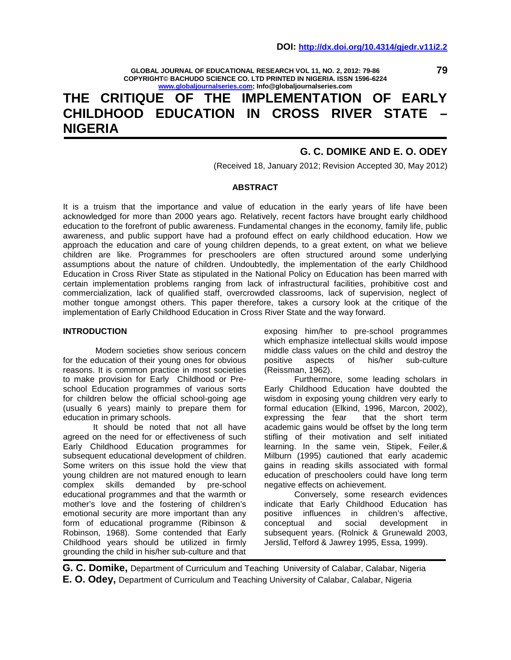**79**

**GLOBAL JOURNAL OF EDUCATIONAL RESEARCH VOL 11, NO. 2, 2012: 79-86 COPYRIGHT© BACHUDO SCIENCE CO. LTD PRINTED IN NIGERIA. ISSN 1596-6224 www.globaljournalseries.com; Info@globaljournalseries.com**

# **THE CRITIQUE OF THE IMPLEMENTATION OF EARLY CHILDHOOD EDUCATION IN CROSS RIVER STATE – NIGERIA**

## **G. C. DOMIKE AND E. O. ODEY**

(Received 18, January 2012; Revision Accepted 30, May 2012)

#### **ABSTRACT**

It is a truism that the importance and value of education in the early years of life have been acknowledged for more than 2000 years ago. Relatively, recent factors have brought early childhood education to the forefront of public awareness. Fundamental changes in the economy, family life, public awareness, and public support have had a profound effect on early childhood education. How we approach the education and care of young children depends, to a great extent, on what we believe children are like. Programmes for preschoolers are often structured around some underlying assumptions about the nature of children. Undoubtedly, the implementation of the early Childhood Education in Cross River State as stipulated in the National Policy on Education has been marred with certain implementation problems ranging from lack of infrastructural facilities, prohibitive cost and commercialization, lack of qualified staff, overcrowded classrooms, lack of supervision, neglect of mother tongue amongst others. This paper therefore, takes a cursory look at the critique of the implementation of Early Childhood Education in Cross River State and the way forward.

#### **INTRODUCTION**

Modern societies show serious concern for the education of their young ones for obvious reasons. It is common practice in most societies to make provision for Early Childhood or Pre school Education programmes of various sorts for children below the official school-going age (usually 6 years) mainly to prepare them for formal education (Elkin education in primary schools. education in primary schools.

It should be noted that not all have agreed on the need for or effectiveness of such Early Childhood Education programmes for subsequent educational development of children. Some writers on this issue hold the view that young children are not matured enough to learn complex skills demanded by pre-school educational programmes and that the warmth or mother's love and the fostering of children's emotional security are more important than any form of educational programme (Ribinson & Robinson, 1968). Some contended that Early Childhood years should be utilized in firmly grounding the child in his/her sub-culture and that

exposing him/her to pre-school programmes which emphasize intellectual skills would impose middle class values on the child and destroy the positive aspects of his/her sub-culture (Reissman, 1962).

Furthermore, some leading scholars in Early Childhood Education have doubted the wisdom in exposing young children very early to formal education (Elkind, 1996, Marcon, 2002), that the short term academic gains would be offset by the long term stifling of their motivation and self initiated learning. In the same vein, Stipek, Feiler,& Milburn (1995) cautioned that early academic gains in reading skills associated with formal education of preschoolers could have long term negative effects on achievement.

Conversely, some research evidences indicate that Early Childhood Education has positive influences in children's affective, and social development in subsequent years. (Rolnick & Grunewald 2003, Jerslid, Telford & Jawrey 1995, Essa, 1999).

**G. C. Domike,** Department of Curriculum and Teaching University of Calabar, Calabar, Nigeria **E. O. Odey,** Department of Curriculum and Teaching University of Calabar, Calabar, Nigeria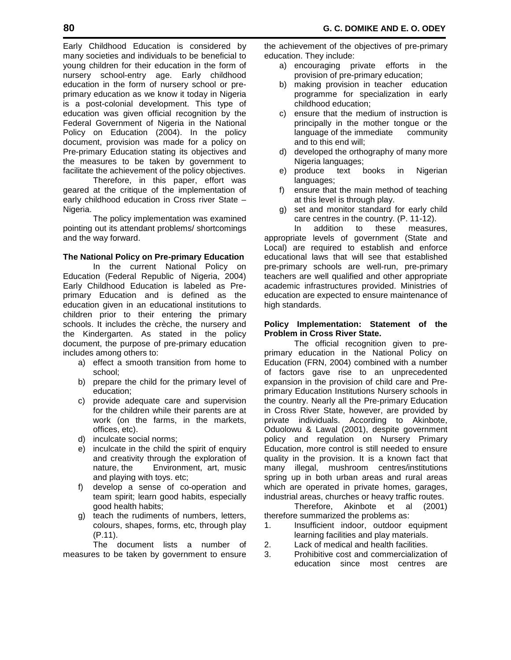Early Childhood Education is considered by many societies and individuals to be beneficial to young children for their education in the form of nursery school-entry age. Early childhood education in the form of nursery school or pre primary education as we know it today in Nigeria is a post-colonial development. This type of education was given official recognition by the Federal Government of Nigeria in the National Policy on Education (2004). In the policy document, provision was made for a policy on Pre-primary Education stating its objectives and the measures to be taken by government to facilitate the achievement of the policy objectives.

Therefore, in this paper, effort was geared at the critique of the implementation of early childhood education in Cross river State – Nigeria.

The policy implementation was examined pointing out its attendant problems/ shortcomings and the way forward.

#### **The National Policy on Pre-primary Education**

In the current National Policy on Education (Federal Republic of Nigeria, 2004) Early Childhood Education is labeled as Pre primary Education and is defined as the education given in an educational institutions to children prior to their entering the primary schools. It includes the crèche, the nursery and the Kindergarten. As stated in the policy document, the purpose of pre-primary education includes among others to:

- a) effect a smooth transition from home to school;
- b) prepare the child for the primary level of education;
- c) provide adequate care and supervision for the children while their parents are at work (on the farms, in the markets, offices, etc).
- d) inculcate social norms;
- e) inculcate in the child the spirit of enquiry and creativity through the exploration of nature, the Environment, art, music and playing with toys. etc;
- f) develop a sense of co-operation and team spirit; learn good habits, especially good health habits;
- g) teach the rudiments of numbers, letters, colours, shapes, forms, etc, through play (P.11).

The document lists a number of 2. measures to be taken by government to ensure 3.

the achievement of the objectives of pre-primary education. They include:

- a) encouraging private efforts in the provision of pre-primary education;
- b) making provision in teacher education programme for specialization in early childhood education;
- c) ensure that the medium of instruction is principally in the mother tongue or the<br>language of the immediate community language of the immediate and to this end will;
- d) developed the orthography of many more Nigeria languages;
- e) produce text books in Nigerian languages;
- f) ensure that the main method of teaching at this level is through play.
- g) set and monitor standard for early child care centres in the country. (P. 11-12).

In addition to these measures, appropriate levels of government (State and Local) are required to establish and enforce educational laws that will see that established pre-primary schools are well-run, pre-primary teachers are well qualified and other appropriate academic infrastructures provided. Ministries of education are expected to ensure maintenance of high standards.

#### **Policy Implementation: Statement of the Problem in Cross River State.**

The official recognition given to pre primary education in the National Policy on Education (FRN, 2004) combined with a number of factors gave rise to an unprecedented expansion in the provision of child care and Pre primary Education Institutions Nursery schools in the country. Nearly all the Pre-primary Education in Cross River State, however, are provided by private individuals. According to Akinbote, Oduolowu & Lawal (2001), despite government policy and regulation on Nursery Primary Education, more control is still needed to ensure quality in the provision. It is a known fact that many illegal, mushroom centres/institutions spring up in both urban areas and rural areas which are operated in private homes, garages, industrial areas, churches or heavy traffic routes.

Therefore, Akinbote et al (2001) therefore summarized the problems as:

- 1. Insufficient indoor, outdoor equipment learning facilities and play materials.
- Lack of medical and health facilities.
- Prohibitive cost and commercialization of education since most centres are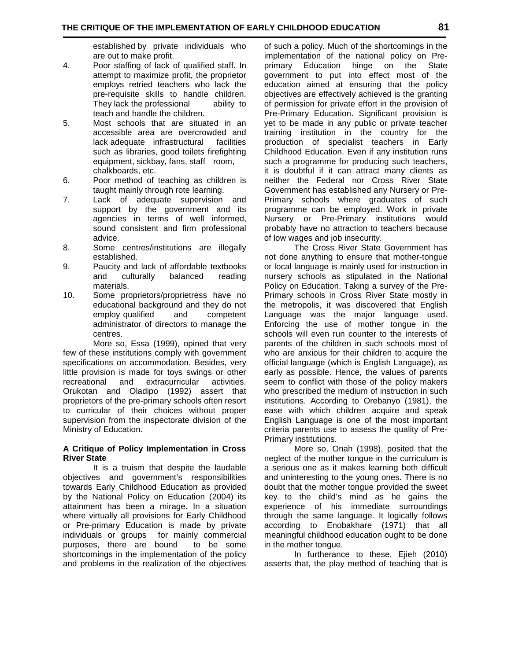established by private individuals who are out to make profit.

- 4. Poor staffing of lack of qualified staff. In attempt to maximize profit, the proprietor employs retried teachers who lack the pre-requisite skills to handle children. They lack the professional ability to teach and handle the children.
- 5. Most schools that are situated in an accessible area are overcrowded and lack adequate infrastructural facilities such as libraries, good toilets firefighting equipment, sickbay, fans, staff room, chalkboards, etc.
- 6. Poor method of teaching as children is taught mainly through rote learning.
- 7. Lack of adequate supervision and support by the government and its agencies in terms of well informed, sound consistent and firm professional advice.
- 8. Some centres/institutions are illegally established.
- 9. Paucity and lack of affordable textbooks and culturally balanced reading materials.
- 10. Some proprietors/proprietress have no educational background and they do not employ qualified and competent administrator of directors to manage the centres.

More so, Essa (1999), opined that very few of these institutions comply with government specifications on accommodation. Besides, very little provision is made for toys swings or other<br>recreational and extracurricular activities. recreational and Orukotan and Oladipo (1992) assert that proprietors of the pre-primary schools often resort to curricular of their choices without proper supervision from the inspectorate division of the Ministry of Education.

#### **A Critique of Policy Implementation in Cross River State**

It is a truism that despite the laudable objectives and government's responsibilities towards Early Childhood Education as provided by the National Policy on Education (2004) its attainment has been a mirage. In a situation where virtually all provisions for Early Childhood or Pre-primary Education is made by private individuals or groups for mainly commercial purposes, there are bound to be some shortcomings in the implementation of the policy and problems in the realization of the objectives of such a policy. Much of the shortcomings in the implementation of the national policy on Pre primary Education hinge on the State government to put into effect most of the education aimed at ensuring that the policy objectives are effectively achieved is the granting of permission for private effort in the provision of Pre-Primary Education. Significant provision is yet to be made in any public or private teacher training institution in the country for the production of specialist teachers in Early Childhood Education. Even if any institution runs such a programme for producing such teachers, it is doubtful if it can attract many clients as neither the Federal nor Cross River State Government has established any Nursery or Pre- Primary schools where graduates of such programme can be employed. Work in private Nursery or Pre-Primary institutions would probably have no attraction to teachers because of low wages and job insecurity.

The Cross River State Government has not done anything to ensure that mother-tongue or local language is mainly used for instruction in nursery schools as stipulated in the National Policy on Education. Taking a survey of the Pre- Primary schools in Cross River State mostly in the metropolis, it was discovered that English Language was the major language used. Enforcing the use of mother tongue in the schools will even run counter to the interests of parents of the children in such schools most of who are anxious for their children to acquire the official language (which is English Language), as early as possible. Hence, the values of parents seem to conflict with those of the policy makers who prescribed the medium of instruction in such institutions. According to Orebanyo (1981), the ease with which children acquire and speak English Language is one of the most important criteria parents use to assess the quality of Pre- Primary institutions.

More so, Onah (1998), posited that the neglect of the mother tongue in the curriculum is a serious one as it makes learning both difficult and uninteresting to the young ones. There is no doubt that the mother tongue provided the sweet key to the child's mind as he gains the experience of his immediate surroundings through the same language. It logically follows according to Enobakhare (1971) that all meaningful childhood education ought to be done in the mother tongue.

In furtherance to these, Ejieh (2010) asserts that, the play method of teaching that is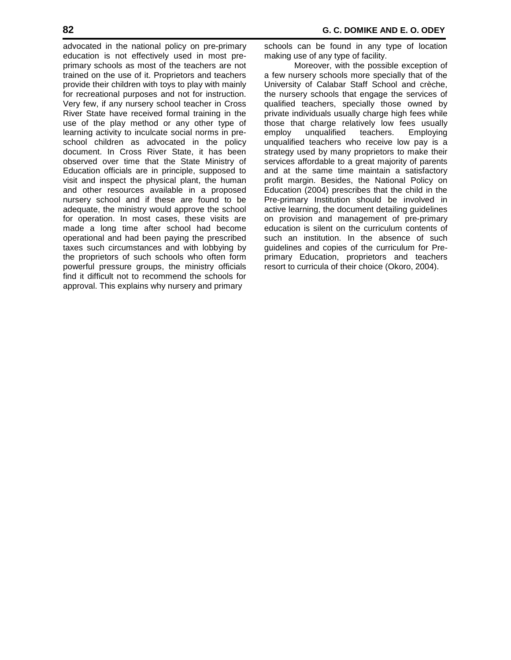advocated in the national policy on pre-primary education is not effectively used in most pre primary schools as most of the teachers are not trained on the use of it. Proprietors and teachers provide their children with toys to play with mainly for recreational purposes and not for instruction. Very few, if any nursery school teacher in Cross River State have received formal training in the use of the play method or any other type of those the learning activity to inculcate social norms in prelearning activity to inculcate social norms in pre school children as advocated in the policy document. In Cross River State, it has been observed over time that the State Ministry of Education officials are in principle, supposed to visit and inspect the physical plant, the human and other resources available in a proposed nursery school and if these are found to be adequate, the ministry would approve the school for operation. In most cases, these visits are made a long time after school had become operational and had been paying the prescribed taxes such circumstances and with lobbying by the proprietors of such schools who often form powerful pressure groups, the ministry officials find it difficult not to recommend the schools for approval. This explains why nursery and primary

schools can be found in any type of location making use of any type of facility.

Moreover, with the possible exception of a few nursery schools more specially that of the University of Calabar Staff School and crèche, the nursery schools that engage the services of qualified teachers, specially those owned by private individuals usually charge high fees while those that charge relatively low fees usually unqualified teachers. Employing unqualified teachers who receive low pay is a strategy used by many proprietors to make their services affordable to a great majority of parents and at the same time maintain a satisfactory profit margin. Besides, the National Policy on Education (2004) prescribes that the child in the Pre-primary Institution should be involved in active learning, the document detailing guidelines on provision and management of pre-primary education is silent on the curriculum contents of such an institution. In the absence of such guidelines and copies of the curriculum for Pre primary Education, proprietors and teachers resort to curricula of their choice (Okoro, 2004).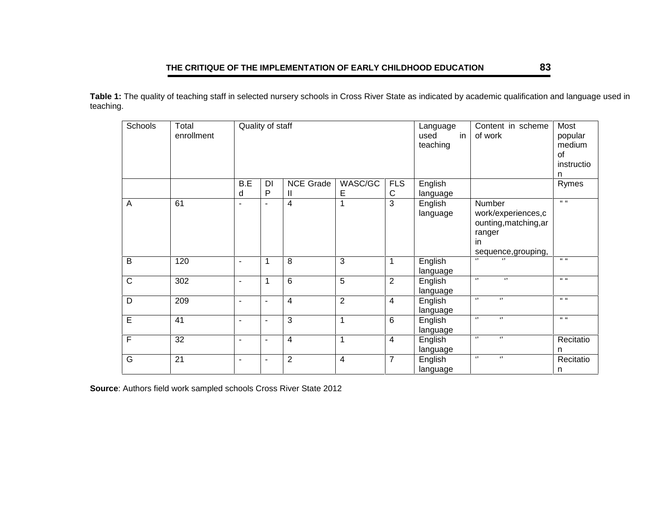| Schools        | Total<br>enrollment | Quality of staff         |                          |                  |                |                         | Language<br>in<br>used<br>teaching | Content in scheme<br>of work                                                                 | Most<br>popular<br>medium<br>of<br>instructio<br>n |
|----------------|---------------------|--------------------------|--------------------------|------------------|----------------|-------------------------|------------------------------------|----------------------------------------------------------------------------------------------|----------------------------------------------------|
|                |                     | B.E                      | DI                       | <b>NCE Grade</b> | WASC/GC        | <b>FLS</b>              | English                            |                                                                                              | Rymes                                              |
|                |                     | d                        | P                        | Ш                | Е              | C                       | language                           |                                                                                              |                                                    |
| $\overline{A}$ | 61                  | ٠                        | ۰                        | 4                | 1              | 3                       | English<br>language                | Number<br>work/experiences,c<br>ounting, matching, ar<br>ranger<br>in<br>sequence, grouping, | $\alpha$                                           |
| B              | 120                 | $\sim$                   | $\mathbf{1}$             | 8                | 3              | $\mathbf 1$             | English<br>language                | $\left($ ,<br>$\epsilon$                                                                     | $\mathbf{G} \in \mathbf{G}$                        |
| $\mathbf C$    | 302                 | $\sim$                   | 1                        | $6\phantom{1}$   | $\overline{5}$ | $\overline{2}$          | English<br>language                | $^{1}$<br>$\epsilon$                                                                         | $\alpha$                                           |
| D              | 209                 | $\blacksquare$           | $\sim$                   | 4                | $\overline{2}$ | $\overline{4}$          | English<br>language                | $\epsilon$<br>$^{1}$                                                                         | $\alpha$                                           |
| $\mathsf E$    | 41                  | ٠.                       | $\sim$                   | 3                | 1              | 6                       | English<br>language                | $\left($ ,<br>$^{(1)}$                                                                       | $\alpha$                                           |
| $\mathsf F$    | 32                  | $\overline{\phantom{a}}$ | $\overline{\phantom{a}}$ | 4                | $\mathbf{1}$   | $\overline{\mathbf{4}}$ | English<br>language                | $\epsilon$<br>$\epsilon$                                                                     | Recitatio<br>n                                     |
| G              | 21                  | $\blacksquare$           | $\sim$                   | $\overline{2}$   | 4              | $\overline{7}$          | English<br>language                | $^{1}$<br>$\left( \cdot \right)$                                                             | Recitatio<br>n                                     |

**Table 1:** The quality of teaching staff in selected nursery schools in Cross River State as indicated by academic qualification and language used in teaching.

**Source**: Authors field work sampled schools Cross River State 2012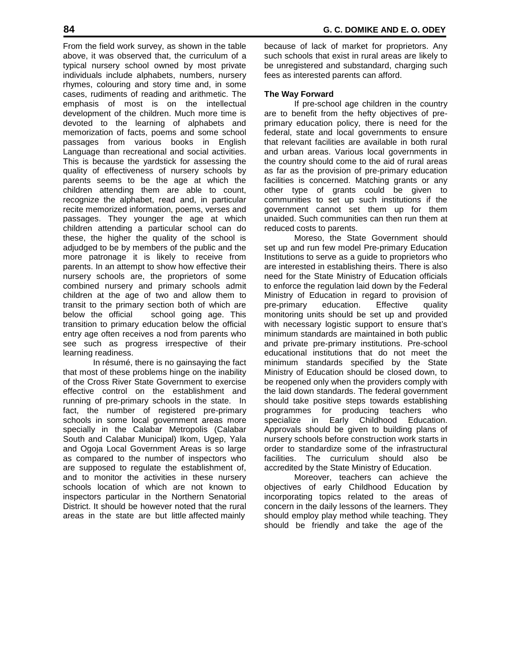From the field work survey, as shown in the table above, it was observed that, the curriculum of a typical nursery school owned by most private individuals include alphabets, numbers, nursery rhymes, colouring and story time and, in some cases, rudiments of reading and arithmetic. The emphasis of most is on the intellectual development of the children. Much more time is devoted to the learning of alphabets and memorization of facts, poems and some school passages from various books in English Language than recreational and social activities. This is because the yardstick for assessing the quality of effectiveness of nursery schools by parents seems to be the age at which the children attending them are able to count, recognize the alphabet, read and, in particular recite memorized information, poems, verses and passages. They younger the age at which children attending a particular school can do these, the higher the quality of the school is adjudged to be by members of the public and the more patronage it is likely to receive from parents. In an attempt to show how effective their nursery schools are, the proprietors of some combined nursery and primary schools admit children at the age of two and allow them to transit to the primary section both of which are below the official school going age. This transition to primary education below the official entry age often receives a nod from parents who see such as progress irrespective of their learning readiness.

In résumé, there is no gainsaying the fact that most of these problems hinge on the inability of the Cross River State Government to exercise effective control on the establishment and running of pre-primary schools in the state. In fact, the number of registered pre-primary schools in some local government areas more specially in the Calabar Metropolis (Calabar South and Calabar Municipal) Ikom, Ugep, Yala and Ogoja Local Government Areas is so large as compared to the number of inspectors who are supposed to regulate the establishment of, and to monitor the activities in these nursery schools location of which are not known to inspectors particular in the Northern Senatorial District. It should be however noted that the rural areas in the state are but little affected mainly

because of lack of market for proprietors. Any such schools that exist in rural areas are likely to be unregistered and substandard, charging such fees as interested parents can afford.

### **The Way Forward**

If pre-school age children in the country are to benefit from the hefty objectives of pre primary education policy, there is need for the federal, state and local governments to ensure that relevant facilities are available in both rural and urban areas. Various local governments in the country should come to the aid of rural areas as far as the provision of pre-primary education facilities is concerned. Matching grants or any other type of grants could be given to communities to set up such institutions if the government cannot set them up for them unaided. Such communities can then run them at reduced costs to parents.

Moreso, the State Government should set up and run few model Pre-primary Education Institutions to serve as a guide to proprietors who are interested in establishing theirs. There is also need for the State Ministry of Education officials to enforce the regulation laid down by the Federal Ministry of Education in regard to provision of pre-primary education. Effective quality monitoring units should be set up and provided with necessary logistic support to ensure that's minimum standards are maintained in both public and private pre-primary institutions. Pre-school educational institutions that do not meet the minimum standards specified by the State Ministry of Education should be closed down, to be reopened only when the providers comply with the laid down standards. The federal government should take positive steps towards establishing programmes for producing teachers who specialize in Early Childhood Education. Approvals should be given to building plans of nursery schools before construction work starts in order to standardize some of the infrastructural facilities. The curriculum should also be accredited by the State Ministry of Education.

Moreover, teachers can achieve the objectives of early Childhood Education by incorporating topics related to the areas of concern in the daily lessons of the learners. They should employ play method while teaching. They should be friendly and take the age of the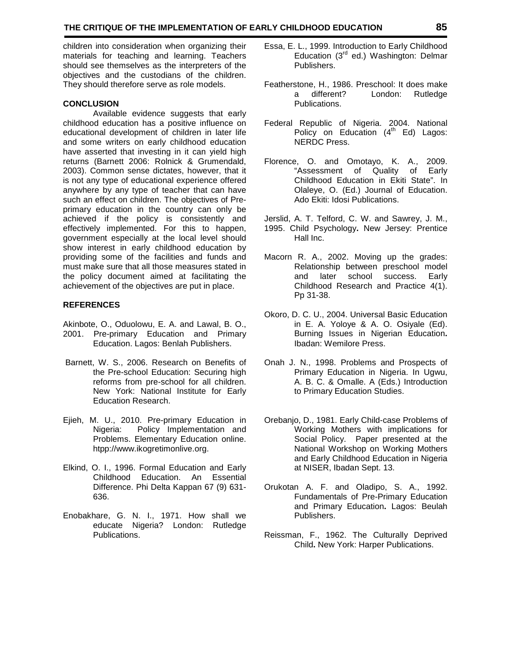children into consideration when organizing their materials for teaching and learning. Teachers should see themselves as the interpreters of the objectives and the custodians of the children. They should therefore serve as role models.

#### **CONCLUSION**

Available evidence suggests that early childhood education has a positive influence on educational development of children in later life and some writers on early childhood education have asserted that investing in it can yield high returns (Barnett 2006: Rolnick & Grumendald, 2003). Common sense dictates, however, that it is not any type of educational experience offered anywhere by any type of teacher that can have such an effect on children. The objectives of Pre primary education in the country can only be achieved if the policy is consistently and effectively implemented. For this to happen, government especially at the local level should show interest in early childhood education by providing some of the facilities and funds and must make sure that all those measures stated in the policy document aimed at facilitating the achievement of the objectives are put in place.

#### **REFERENCES**

- Akinbote, O., Oduolowu, E. A. and Lawal, B. O., 2001. Pre-primary Education and Primary Education. Lagos: Benlah Publishers.
- Barnett, W. S., 2006. Research on Benefits of the Pre-school Education: Securing high reforms from pre-school for all children. New York: National Institute for Early Education Research.
- Ejieh, M. U., 2010. Pre-primary Education in Nigeria: Policy Implementation and Problems. Elementary Education online. htpp://www.ikogretimonlive.org.
- Elkind, O. I., 1996. Formal Education and Early Childhood Education. An Essential Difference. Phi Delta Kappan 67 (9) 631- 636.
- Enobakhare, G. N. I., 1971. How shall we educate Nigeria? London: Rutledge Publications.
- Essa, E. L., 1999. Introduction to Early Childhood Education  $(3<sup>rd</sup>$  ed.) Washington: Delmar Publishers.
- Featherstone, H., 1986. Preschool: It does make a different? London: Rutledge Publications.
- Federal Republic of Nigeria. 2004. National Policy on Education  $(4<sup>th</sup>$  Ed) Lagos: NERDC Press.
- Florence, O. and Omotayo, K. A., 2009. "Assessment of Quality of Early Childhood Education in Ekiti State". In Olaleye, O. (Ed.) Journal of Education. Ado Ekiti: Idosi Publications.
- Jerslid, A. T. Telford, C. W. and Sawrey, J. M., 1995. Child Psychology**.** New Jersey: Prentice Hall Inc.
- Macorn R. A., 2002. Moving up the grades: Relationship between preschool model and later school success. Early Childhood Research and Practice 4(1). Pp 31-38.
- Okoro, D. C. U., 2004. Universal Basic Education in E. A. Yoloye & A. O. Osiyale (Ed). Burning Issues in Nigerian Education**.** Ibadan: Wemilore Press.
- Onah J. N., 1998. Problems and Prospects of Primary Education in Nigeria. In Ugwu, A. B. C. & Omalle. A (Eds.) Introduction to Primary Education Studies.
- Orebanjo, D., 1981. Early Child-case Problems of Working Mothers with implications for Social Policy. Paper presented at the National Workshop on Working Mothers and Early Childhood Education in Nigeria at NISER, Ibadan Sept. 13.
- Orukotan A. F. and Oladipo, S. A., 1992. Fundamentals of Pre-Primary Education and Primary Education**.** Lagos: Beulah Publishers.
- Reissman, F., 1962. The Culturally Deprived Child**.** New York: Harper Publications.